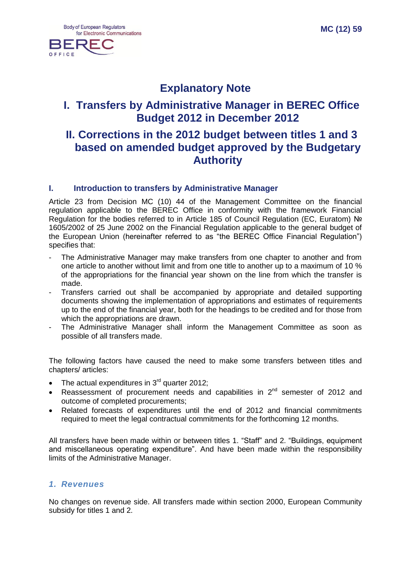

## **Explanatory Note**

## **I. Transfers by Administrative Manager in BEREC Office Budget 2012 in December 2012**

## **II. Corrections in the 2012 budget between titles 1 and 3 based on amended budget approved by the Budgetary Authority**

### **I. Introduction to transfers by Administrative Manager**

Article 23 from Decision MC (10) 44 of the Management Committee on the financial regulation applicable to the BEREC Office in conformity with the framework Financial Regulation for the bodies referred to in Article 185 of Council Regulation (EC, Euratom) № 1605/2002 of 25 June 2002 on the Financial Regulation applicable to the general budget of the European Union (hereinafter referred to as "the BEREC Office Financial Regulation") specifies that:

- The Administrative Manager may make transfers from one chapter to another and from one article to another without limit and from one title to another up to a maximum of 10 % of the appropriations for the financial year shown on the line from which the transfer is made.
- Transfers carried out shall be accompanied by appropriate and detailed supporting documents showing the implementation of appropriations and estimates of requirements up to the end of the financial year, both for the headings to be credited and for those from which the appropriations are drawn.
- The Administrative Manager shall inform the Management Committee as soon as possible of all transfers made.

The following factors have caused the need to make some transfers between titles and chapters/ articles:

- The actual expenditures in  $3<sup>rd</sup>$  quarter 2012;
- Reassessment of procurement needs and capabilities in  $2^{nd}$  semester of 2012 and outcome of completed procurements;
- Related forecasts of expenditures until the end of 2012 and financial commitments required to meet the legal contractual commitments for the forthcoming 12 months.

All transfers have been made within or between titles 1. "Staff" and 2. "Buildings, equipment and miscellaneous operating expenditure". And have been made within the responsibility limits of the Administrative Manager.

## *1. Revenues*

No changes on revenue side. All transfers made within section 2000, European Community subsidy for titles 1 and 2.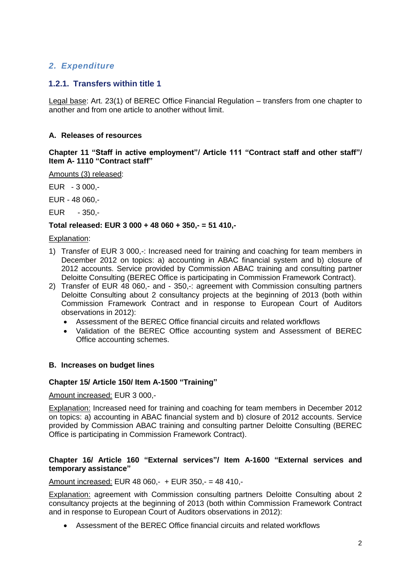## *2. Expenditure*

### **1.2.1. Transfers within title 1**

Legal base: Art. 23(1) of BEREC Office Financial Regulation – transfers from one chapter to another and from one article to another without limit.

#### **A. Releases of resources**

**Chapter 11 "Staff in active employment"/ Article 111 "Contract staff and other staff"/ Item A- 1110 "Contract staff"**

Amounts (3) released:

EUR - 3 000,-

EUR - 48 060,-

EUR - 350,-

#### **Total released: EUR 3 000 + 48 060 + 350,- = 51 410,-**

#### Explanation:

- 1) Transfer of EUR 3 000,-: Increased need for training and coaching for team members in December 2012 on topics: a) accounting in ABAC financial system and b) closure of 2012 accounts. Service provided by Commission ABAC training and consulting partner Deloitte Consulting (BEREC Office is participating in Commission Framework Contract).
- 2) Transfer of EUR 48 060,- and 350,-: agreement with Commission consulting partners Deloitte Consulting about 2 consultancy projects at the beginning of 2013 (both within Commission Framework Contract and in response to European Court of Auditors observations in 2012):
	- Assessment of the BEREC Office financial circuits and related workflows
	- Validation of the BEREC Office accounting system and Assessment of BEREC Office accounting schemes.

#### **B. Increases on budget lines**

#### **Chapter 15/ Article 150/ Item A-1500 "Training"**

Amount increased: EUR 3 000,-

Explanation: Increased need for training and coaching for team members in December 2012 on topics: a) accounting in ABAC financial system and b) closure of 2012 accounts. Service provided by Commission ABAC training and consulting partner Deloitte Consulting (BEREC Office is participating in Commission Framework Contract).

#### **Chapter 16/ Article 160 "External services"/ Item A-1600 "External services and temporary assistance"**

Amount increased: EUR 48 060,- + EUR 350,- = 48 410,-

Explanation: agreement with Commission consulting partners Deloitte Consulting about 2 consultancy projects at the beginning of 2013 (both within Commission Framework Contract and in response to European Court of Auditors observations in 2012):

Assessment of the BEREC Office financial circuits and related workflows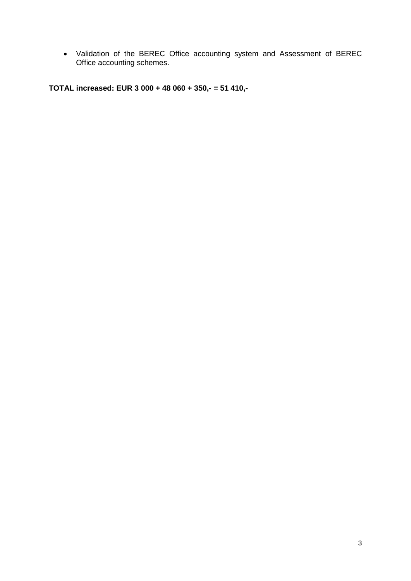Validation of the BEREC Office accounting system and Assessment of BEREC Office accounting schemes.

**TOTAL increased: EUR 3 000 + 48 060 + 350,- = 51 410,-**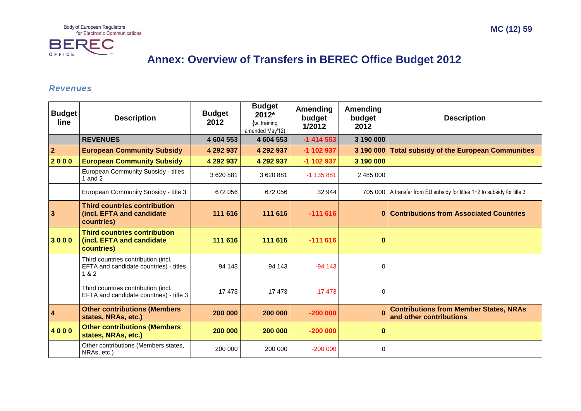

# **Annex: Overview of Transfers in BEREC Office Budget 2012**

#### *Revenues*

| <b>Budget</b><br>line   | <b>Description</b>                                                                     | <b>Budget</b><br>2012 | <b>Budget</b><br>2012*<br>(w. training<br>amended May'12) | <b>Amending</b><br>budget<br>1/2012 | Amending<br>budget<br>2012 | <b>Description</b>                                                         |
|-------------------------|----------------------------------------------------------------------------------------|-----------------------|-----------------------------------------------------------|-------------------------------------|----------------------------|----------------------------------------------------------------------------|
|                         | <b>REVENUES</b>                                                                        | 4 604 553             | 4 604 553                                                 | $-1$ 414 553                        | 3 190 000                  |                                                                            |
| $\overline{2}$          | <b>European Community Subsidy</b>                                                      | 4 292 937             | 4 292 937                                                 | $-1$ 102 937                        | 3 190 000                  | <b>Total subsidy of the European Communities</b>                           |
| 2000                    | <b>European Community Subsidy</b>                                                      | 4 292 937             | 4 292 937                                                 | -1 102 937                          | 3 190 000                  |                                                                            |
|                         | European Community Subsidy - titles<br>1 and $2$                                       | 3 620 881             | 3620881                                                   | $-1$ 135 881                        | 2 485 000                  |                                                                            |
|                         | European Community Subsidy - title 3                                                   | 672 056               | 672 056                                                   | 32 944                              |                            | 705 000   A transfer from EU subsidy for titles 1+2 to subsidy for title 3 |
| $\overline{\mathbf{3}}$ | <b>Third countries contribution</b><br>(incl. EFTA and candidate<br>countries)         | 111 616               | 111 616                                                   | $-111616$                           |                            | 0 Contributions from Associated Countries                                  |
| 3000                    | <b>Third countries contribution</b><br>(incl. EFTA and candidate<br>countries)         | 111 616               | 111 616                                                   | $-111616$                           | $\bf{0}$                   |                                                                            |
|                         | Third countries contribution (incl.<br>EFTA and candidate countries) - titles<br>1 & 2 | 94 143                | 94 143                                                    | $-94143$                            | 0                          |                                                                            |
|                         | Third countries contribution (incl.<br>EFTA and candidate countries) - title 3         | 17473                 | 17473                                                     | $-17473$                            | $\Omega$                   |                                                                            |
| $\overline{\mathbf{4}}$ | <b>Other contributions (Members</b><br>states, NRAs, etc.)                             | 200 000               | 200 000                                                   | $-200000$                           | $\Omega$                   | <b>Contributions from Member States, NRAs</b><br>and other contributions   |
| 4000                    | <b>Other contributions (Members</b><br>states, NRAs, etc.)                             | 200 000               | 200 000                                                   | $-200000$                           | $\bf{0}$                   |                                                                            |
|                         | Other contributions (Members states,<br>NRAs, etc.)                                    | 200 000               | 200 000                                                   | $-200000$                           | $\Omega$                   |                                                                            |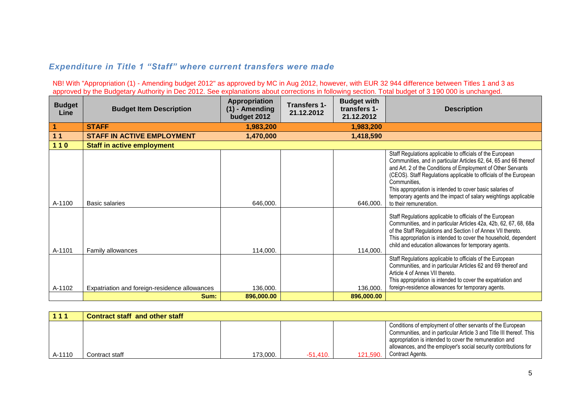## *Expenditure in Title 1 "Staff" where current transfers were made*

NB! With "Appropriation (1) - Amending budget 2012" as approved by MC in Aug 2012, however, with EUR 32 944 difference between Titles 1 and 3 as approved by the Budgetary Authority in Dec 2012. See explanations about corrections in following section. Total budget of 3 190 000 is unchanged.

| <b>Budget</b><br>Line | <b>Budget Item Description</b>                | <b>Appropriation</b><br>$(1)$ - Amending<br>budget 2012 | <b>Transfers 1-</b><br>21.12.2012 | <b>Budget with</b><br>transfers 1-<br>21.12.2012 | <b>Description</b>                                                                                                                                                                                                                                                                                                                                                                                                                            |
|-----------------------|-----------------------------------------------|---------------------------------------------------------|-----------------------------------|--------------------------------------------------|-----------------------------------------------------------------------------------------------------------------------------------------------------------------------------------------------------------------------------------------------------------------------------------------------------------------------------------------------------------------------------------------------------------------------------------------------|
|                       | <b>STAFF</b>                                  | 1,983,200                                               |                                   | 1,983,200                                        |                                                                                                                                                                                                                                                                                                                                                                                                                                               |
| 11                    | <b>STAFF IN ACTIVE EMPLOYMENT</b>             | 1,470,000                                               |                                   | 1,418,590                                        |                                                                                                                                                                                                                                                                                                                                                                                                                                               |
| $110$                 | <b>Staff in active employment</b>             |                                                         |                                   |                                                  |                                                                                                                                                                                                                                                                                                                                                                                                                                               |
| A-1100                | Basic salaries                                | 646,000.                                                |                                   | 646,000.                                         | Staff Regulations applicable to officials of the European<br>Communities, and in particular Articles 62, 64, 65 and 66 thereof<br>and Art. 2 of the Conditions of Employment of Other Servants<br>(CEOS). Staff Regulations applicable to officials of the European<br>Communities,<br>This appropriation is intended to cover basic salaries of<br>temporary agents and the impact of salary weightings applicable<br>to their remuneration. |
| A-1101                | Family allowances                             | 114,000.                                                |                                   | 114,000.                                         | Staff Regulations applicable to officials of the European<br>Communities, and in particular Articles 42a, 42b, 62, 67, 68, 68a<br>of the Staff Regulations and Section I of Annex VII thereto.<br>This appropriation is intended to cover the household, dependent<br>child and education allowances for temporary agents.                                                                                                                    |
| A-1102                | Expatriation and foreign-residence allowances | 136,000.                                                |                                   | 136,000.                                         | Staff Regulations applicable to officials of the European<br>Communities, and in particular Articles 62 and 69 thereof and<br>Article 4 of Annex VII thereto.<br>This appropriation is intended to cover the expatriation and<br>foreign-residence allowances for temporary agents.                                                                                                                                                           |
|                       | Sum:                                          | 896,000.00                                              |                                   | 896,000.00                                       |                                                                                                                                                                                                                                                                                                                                                                                                                                               |

| 111    | <b>Contract staff and other staff</b> |          |            |          |                                                                                                                                                                                                                                                                   |
|--------|---------------------------------------|----------|------------|----------|-------------------------------------------------------------------------------------------------------------------------------------------------------------------------------------------------------------------------------------------------------------------|
|        |                                       |          |            |          | Conditions of employment of other servants of the European<br>Communities, and in particular Article 3 and Title III thereof. This<br>appropriation is intended to cover the remuneration and<br>allowances, and the employer's social security contributions for |
| A-1110 | Contract staff                        | 173,000. | $-51.410.$ | 121.590. | Contract Agents.                                                                                                                                                                                                                                                  |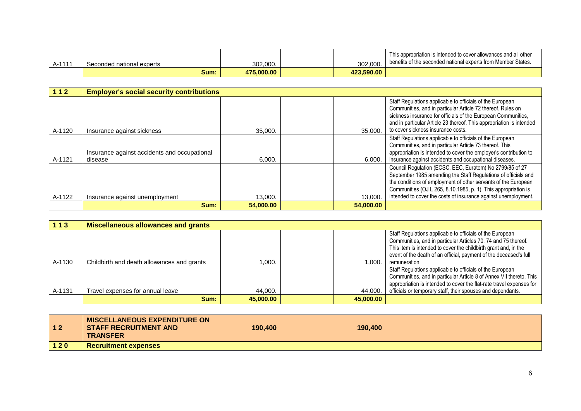| $A-111'$ | Seconded national experts | 302.000.   | 302.000.   | This appropriation is intended to cover allowances and all other<br>benefits of the seconded national experts from Member States. |
|----------|---------------------------|------------|------------|-----------------------------------------------------------------------------------------------------------------------------------|
|          | Sum:                      | 475.000.00 | 423.590.00 |                                                                                                                                   |

| 112    | <b>Employer's social security contributions</b>         |           |           |                                                                                                                                                                                                                                                                                                                                  |
|--------|---------------------------------------------------------|-----------|-----------|----------------------------------------------------------------------------------------------------------------------------------------------------------------------------------------------------------------------------------------------------------------------------------------------------------------------------------|
| A-1120 | Insurance against sickness                              | 35,000.   | 35,000.   | Staff Regulations applicable to officials of the European<br>Communities, and in particular Article 72 thereof. Rules on<br>sickness insurance for officials of the European Communities,<br>and in particular Article 23 thereof. This appropriation is intended<br>to cover sickness insurance costs.                          |
| A-1121 | Insurance against accidents and occupational<br>disease | 6,000.    | 6,000.    | Staff Regulations applicable to officials of the European<br>Communities, and in particular Article 73 thereof. This<br>appropriation is intended to cover the employer's contribution to<br>insurance against accidents and occupational diseases.                                                                              |
| A-1122 | Insurance against unemployment                          | 13,000.   | 13.000.   | Council Regulation (ECSC, EEC, Euratom) No 2799/85 of 27<br>September 1985 amending the Staff Regulations of officials and<br>the conditions of employment of other servants of the European<br>Communities (OJ L 265, 8.10.1985, p. 1). This appropriation is<br>intended to cover the costs of insurance against unemployment. |
|        | Sum:                                                    | 54,000,00 | 54,000.00 |                                                                                                                                                                                                                                                                                                                                  |

| 113    | <b>Miscellaneous allowances and grants</b> |           |           |                                                                      |
|--------|--------------------------------------------|-----------|-----------|----------------------------------------------------------------------|
|        |                                            |           |           | Staff Regulations applicable to officials of the European            |
|        |                                            |           |           | Communities, and in particular Articles 70, 74 and 75 thereof.       |
|        |                                            |           |           | This item is intended to cover the childbirth grant and, in the      |
|        |                                            |           |           | event of the death of an official, payment of the deceased's full    |
| A-1130 | Childbirth and death allowances and grants | 1.000.    | 1.000.    | remuneration.                                                        |
|        |                                            |           |           | Staff Regulations applicable to officials of the European            |
|        |                                            |           |           | Communities, and in particular Article 8 of Annex VII thereto. This  |
|        |                                            |           |           | appropriation is intended to cover the flat-rate travel expenses for |
| A-1131 | Travel expenses for annual leave           | 44.000.   | 44.000.   | officials or temporary staff, their spouses and dependants.          |
|        | Sum:                                       | 45,000,00 | 45,000,00 |                                                                      |

| $12$  | <b>MISCELLANEOUS EXPENDITURE ON</b><br><b>STAFF RECRUITMENT AND</b><br><b>TRANSFER</b> | 190,400 | 190,400 |  |
|-------|----------------------------------------------------------------------------------------|---------|---------|--|
| $120$ | <b>Recruitment expenses</b>                                                            |         |         |  |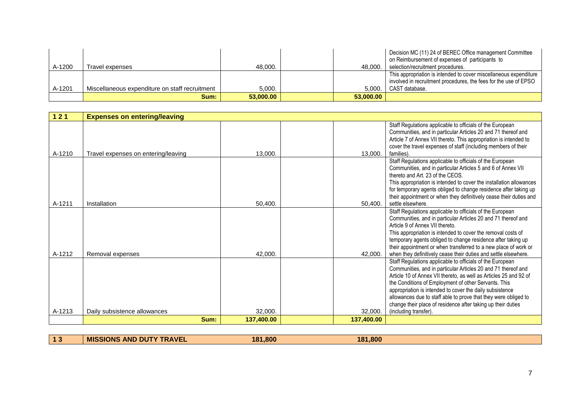| A-1200 | Travel expenses                                | 48.000.   | 48.000.   | Decision MC (11) 24 of BEREC Office management Committee<br>on Reimbursement of expenses of participants to<br>selection/recruitment procedures.        |
|--------|------------------------------------------------|-----------|-----------|---------------------------------------------------------------------------------------------------------------------------------------------------------|
| A-1201 | Miscellaneous expenditure on staff recruitment | 5.000.    | 5.000.    | This appropriation is intended to cover miscellaneous expenditure<br>involved in recruitment procedures, the fees for the use of EPSO<br>CAST database. |
|        | Sum:                                           | 53,000,00 | 53.000.00 |                                                                                                                                                         |

| 121    | <b>Expenses on entering/leaving</b> |            |            |                                                                                                                                                                                                                                                                                                                                                                                                                                                                                 |
|--------|-------------------------------------|------------|------------|---------------------------------------------------------------------------------------------------------------------------------------------------------------------------------------------------------------------------------------------------------------------------------------------------------------------------------------------------------------------------------------------------------------------------------------------------------------------------------|
| A-1210 | Travel expenses on entering/leaving | 13,000.    | 13,000.    | Staff Regulations applicable to officials of the European<br>Communities, and in particular Articles 20 and 71 thereof and<br>Article 7 of Annex VII thereto. This appropriation is intended to<br>cover the travel expenses of staff (including members of their<br>families).                                                                                                                                                                                                 |
| A-1211 | Installation                        | 50,400.    | 50,400.    | Staff Regulations applicable to officials of the European<br>Communities, and in particular Articles 5 and 6 of Annex VII<br>thereto and Art. 23 of the CEOS.<br>This appropriation is intended to cover the installation allowances<br>for temporary agents obliged to change residence after taking up<br>their appointment or when they definitively cease their duties and<br>settle elsewhere.                                                                             |
| A-1212 | Removal expenses                    | 42,000.    | 42,000.    | Staff Regulations applicable to officials of the European<br>Communities, and in particular Articles 20 and 71 thereof and<br>Article 9 of Annex VII thereto.<br>This appropriation is intended to cover the removal costs of<br>temporary agents obliged to change residence after taking up<br>their appointment or when transferred to a new place of work or<br>when they definitively cease their duties and settle elsewhere.                                             |
| A-1213 | Daily subsistence allowances        | 32,000.    | 32,000.    | Staff Regulations applicable to officials of the European<br>Communities, and in particular Articles 20 and 71 thereof and<br>Article 10 of Annex VII thereto, as well as Articles 25 and 92 of<br>the Conditions of Employment of other Servants. This<br>appropriation is intended to cover the daily subsistence<br>allowances due to staff able to prove that they were obliged to<br>change their place of residence after taking up their duties<br>(including transfer). |
|        | Sum:                                | 137,400.00 | 137.400.00 |                                                                                                                                                                                                                                                                                                                                                                                                                                                                                 |

| <b>MIS</b> | <b>PAVEL</b><br>DUT<br><b>ANL</b><br>INS<br>. . | .800<br>1 2 1 | .800<br>181 |  |
|------------|-------------------------------------------------|---------------|-------------|--|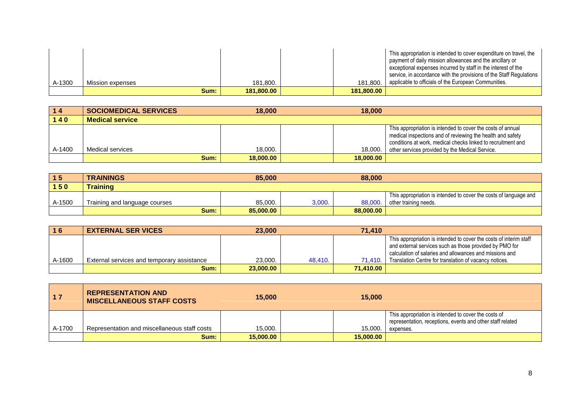| A-1300 | Mission expenses | 181.800.   | 181.800.   | This appropriation is intended to cover expenditure on travel, the<br>payment of daily mission allowances and the ancillary or<br>exceptional expenses incurred by staff in the interest of the<br>service, in accordance with the provisions of the Staff Regulations<br>applicable to officials of the European Communities. |
|--------|------------------|------------|------------|--------------------------------------------------------------------------------------------------------------------------------------------------------------------------------------------------------------------------------------------------------------------------------------------------------------------------------|
|        | Sum:             | 181.800.00 | 181.800.00 |                                                                                                                                                                                                                                                                                                                                |

| 14     | <b>SOCIOMEDICAL SERVICES</b> | 18,000    | 18,000    |                                                                                                                                                                                                                                              |
|--------|------------------------------|-----------|-----------|----------------------------------------------------------------------------------------------------------------------------------------------------------------------------------------------------------------------------------------------|
| $140$  | <b>Medical service</b>       |           |           |                                                                                                                                                                                                                                              |
| A-1400 | Medical services             | 18,000.   | 18.000.   | This appropriation is intended to cover the costs of annual<br>medical inspections and of reviewing the health and safety<br>conditions at work, medical checks linked to recruitment and<br>other services provided by the Medical Service. |
|        | Sum:                         | 18,000,00 | 18,000,00 |                                                                                                                                                                                                                                              |

| 15     | <b>TRAININGS</b>              | 85,000    |        | 88,000    |                                                                   |
|--------|-------------------------------|-----------|--------|-----------|-------------------------------------------------------------------|
| 150    | <b>Training</b>               |           |        |           |                                                                   |
|        |                               |           |        |           | This appropriation is intended to cover the costs of language and |
| A-1500 | Training and language courses | 85,000.   | 3.000. | 88,000    | other training needs.                                             |
|        | Sum:                          | 85,000,00 |        | 88.000.00 |                                                                   |

| 16     | <b>EXTERNAL SER VICES</b>                  | 23,000    |         | 71.410    |                                                                                                                                                                                          |
|--------|--------------------------------------------|-----------|---------|-----------|------------------------------------------------------------------------------------------------------------------------------------------------------------------------------------------|
|        |                                            |           |         |           | This appropriation is intended to cover the costs of interim staff<br>and external services such as those provided by PMO for<br>calculation of salaries and allowances and missions and |
| A-1600 | External services and temporary assistance | 23,000.   | 48.410. | 71.410.   | Translation Centre for translation of vacancy notices.                                                                                                                                   |
|        | Sum:                                       | 23,000,00 |         | 71.410.00 |                                                                                                                                                                                          |

| 17     | <b>REPRESENTATION AND</b><br><b>MISCELLANEOUS STAFF COSTS</b> | 15,000    | 15,000    |                                                                                                                                 |
|--------|---------------------------------------------------------------|-----------|-----------|---------------------------------------------------------------------------------------------------------------------------------|
| A-1700 | Representation and miscellaneous staff costs                  | 15.000.   | 15.000.   | This appropriation is intended to cover the costs of<br>representation, receptions, events and other staff related<br>expenses. |
|        | Sum:                                                          | 15,000,00 | 15,000,00 |                                                                                                                                 |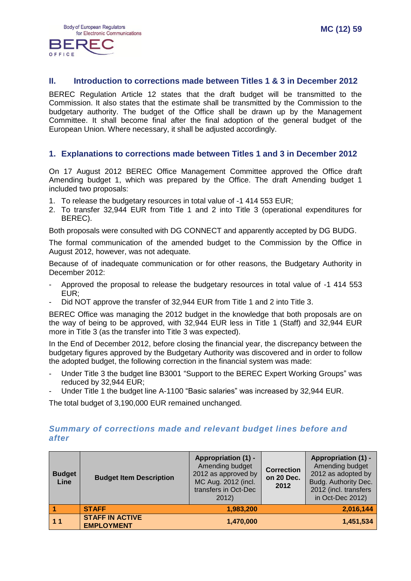

### **II. Introduction to corrections made between Titles 1 & 3 in December 2012**

BEREC Regulation Article 12 states that the draft budget will be transmitted to the Commission. It also states that the estimate shall be transmitted by the Commission to the budgetary authority. The budget of the Office shall be drawn up by the Management Committee. It shall become final after the final adoption of the general budget of the European Union. Where necessary, it shall be adjusted accordingly.

#### **1. Explanations to corrections made between Titles 1 and 3 in December 2012**

On 17 August 2012 BEREC Office Management Committee approved the Office draft Amending budget 1, which was prepared by the Office. The draft Amending budget 1 included two proposals:

- 1. To release the budgetary resources in total value of -1 414 553 EUR;
- 2. To transfer 32,944 EUR from Title 1 and 2 into Title 3 (operational expenditures for BEREC).

Both proposals were consulted with DG CONNECT and apparently accepted by DG BUDG.

The formal communication of the amended budget to the Commission by the Office in August 2012, however, was not adequate.

Because of of inadequate communication or for other reasons, the Budgetary Authority in December 2012:

- Approved the proposal to release the budgetary resources in total value of -1 414 553 EUR;
- Did NOT approve the transfer of 32,944 EUR from Title 1 and 2 into Title 3.

BEREC Office was managing the 2012 budget in the knowledge that both proposals are on the way of being to be approved, with 32,944 EUR less in Title 1 (Staff) and 32,944 EUR more in Title 3 (as the transfer into Title 3 was expected).

In the End of December 2012, before closing the financial year, the discrepancy between the budgetary figures approved by the Budgetary Authority was discovered and in order to follow the adopted budget, the following correction in the financial system was made:

- Under Title 3 the budget line B3001 "Support to the BEREC Expert Working Groups" was reduced by 32,944 EUR;
- Under Title 1 the budget line A-1100 "Basic salaries" was increased by 32,944 EUR.

The total budget of 3,190,000 EUR remained unchanged.

#### *Summary of corrections made and relevant budget lines before and after*

| <b>Budget</b><br>Line | <b>Budget Item Description</b>              | <b>Appropriation (1) -</b><br>Amending budget<br>2012 as approved by<br>MC Aug. 2012 (incl.<br>transfers in Oct-Dec<br>2012) | <b>Correction</b><br>on 20 Dec.<br>2012 | <b>Appropriation (1) -</b><br>Amending budget<br>2012 as adopted by<br>Budg. Authority Dec.<br>2012 (incl. transfers<br>in Oct-Dec 2012) |
|-----------------------|---------------------------------------------|------------------------------------------------------------------------------------------------------------------------------|-----------------------------------------|------------------------------------------------------------------------------------------------------------------------------------------|
|                       | <b>STAFF</b>                                | 1,983,200                                                                                                                    |                                         | 2,016,144                                                                                                                                |
| 11                    | <b>STAFF IN ACTIVE</b><br><b>EMPLOYMENT</b> | 1,470,000                                                                                                                    |                                         | 1,451,534                                                                                                                                |